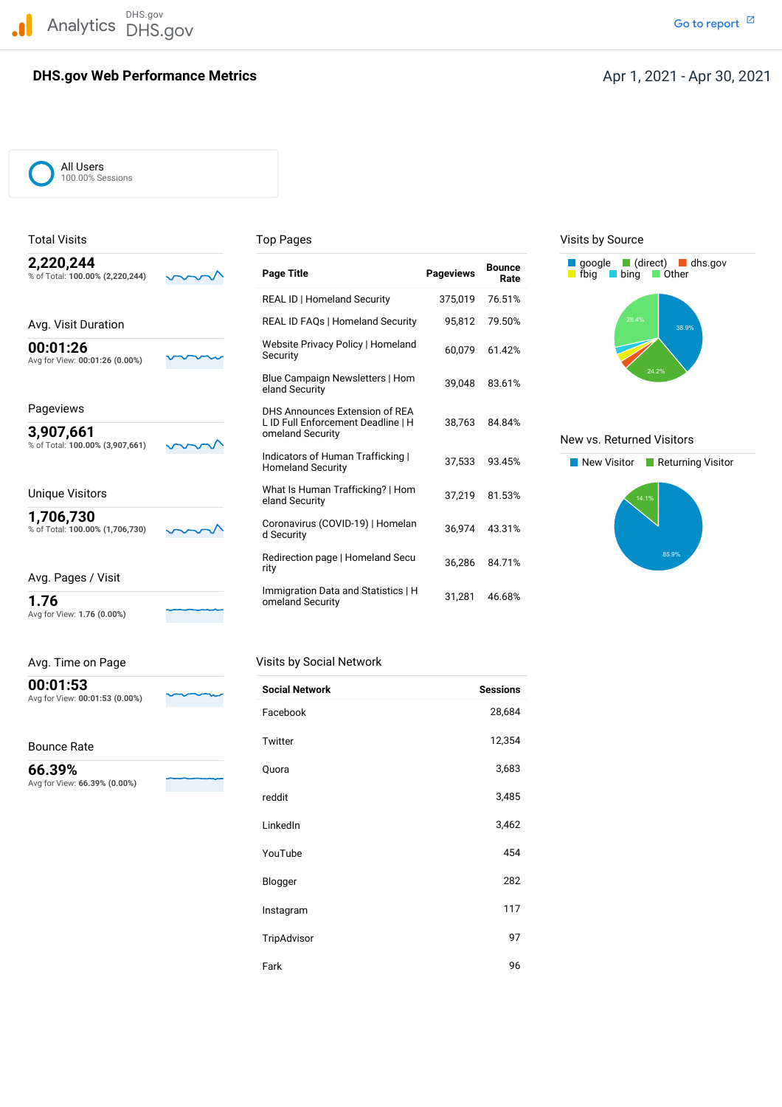DHS.gov Analytics DHS.gov and the contract of the contract of the contract of the contract of the contract of the contract of the contract of the contract of the contract of the contract of the contract of the contract of the cont

## **DHS.gov Web Performance Metrics**

Go to report<sup>[2]</sup>

All Users 100.00% Sessions

| 2,220,244                       |  |
|---------------------------------|--|
| % of Total: 100.00% (2,220,244) |  |
|                                 |  |
|                                 |  |
| Avg. Visit Duration             |  |

Avg for View: **1.76 (0.00%)**

| Avg. Time on Page                          | Visits by Social Network |
|--------------------------------------------|--------------------------|
| 00:01:53<br>Avg for View: 00:01:53 (0.00%) | <b>Social Network</b>    |

Bounce Rate

 Avg for View: **66.39% (0.00%) 66.39%**

| 2,220,244<br>% of Total: 100.00% (2,220,244) | <b>Page Title</b>                                             | <b>Pageviews</b> | <b>Bounce</b><br>Rate | $\Box$ (direct) $\Box$ dhs.gov<br>$\Box$ google<br><b>■</b> fbig<br>□ Other<br>bina |
|----------------------------------------------|---------------------------------------------------------------|------------------|-----------------------|-------------------------------------------------------------------------------------|
|                                              | <b>REAL ID   Homeland Security</b>                            | 375,019          | 76.51%                |                                                                                     |
| Avg. Visit Duration                          | <b>REAL ID FAQs   Homeland Security</b>                       | 95,812           | 79.50%                | 28.4%<br>38.9%                                                                      |
| 00:01:26<br>Avg for View: 00:01:26 (0.00%)   | Website Privacy Policy   Homeland<br>Security                 | 60,079           | 61.42%                |                                                                                     |
|                                              | Blue Campaign Newsletters   Hom<br>eland Security             | 39.048           | 83.61%                | 24.2%                                                                               |
| Pageviews                                    | DHS Announces Extension of REA                                | 38.763           | 84.84%                |                                                                                     |
| 3,907,661<br>% of Total: 100.00% (3,907,661) | L ID Full Enforcement Deadline   H<br>omeland Security        |                  |                       | New vs. Returned Visitors                                                           |
|                                              | Indicators of Human Trafficking  <br><b>Homeland Security</b> | 37,533           | 93.45%                | New Visitor<br>Returning Visite                                                     |
| <b>Unique Visitors</b>                       | What Is Human Trafficking?   Hom<br>eland Security            | 37,219           | 81.53%                | 14.1%                                                                               |
| 1,706,730<br>% of Total: 100.00% (1,706,730) | Coronavirus (COVID-19)   Homelan<br>d Security                | 36,974           | 43.31%                |                                                                                     |
| Avg. Pages / Visit                           | Redirection page   Homeland Secu<br>rity                      | 36,286           | 84.71%                | 85.9%                                                                               |
| 1.76                                         | Immigration Data and Statistics   H<br>omeland Security       | 31,281           | 46.68%                |                                                                                     |

| <b>Social Network</b> | <b>Sessions</b> |
|-----------------------|-----------------|
| Facebook              | 28,684          |
| Twitter               | 12,354          |
| Quora                 | 3,683           |
| reddit                | 3,485           |
| LinkedIn              | 3,462           |
| YouTube               | 454             |
| Blogger               | 282             |
| Instagram             | 117             |
| TripAdvisor           | 97              |
| Fark                  | 96              |

Total Visits **Top Pages** Top Pages Top Pages Visits by Source



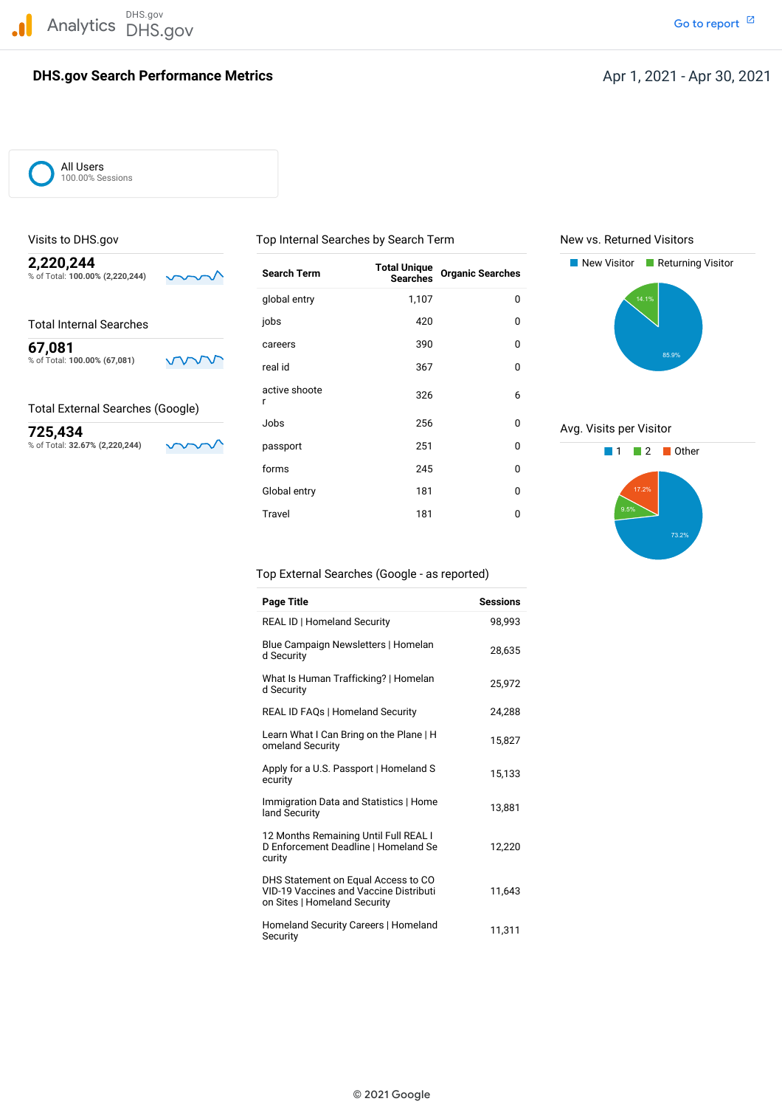DHS.gov Analytics DHS.gov and the contract of the contract of the contract of the contract of the contract of the contract of the contract of the contract of the contract of the contract of the contract of the contract of the cont

## **DHS.gov Search Performance Metrics**

All Users 100.00% Sessions

| 2,220,244<br>% of Total: 100.00% (2,220,244) | <b>Search Term</b> | <b>Total Unique</b><br><b>Searches</b> | <b>Organic Searches</b> | New Visitor<br>Returning Visitor |
|----------------------------------------------|--------------------|----------------------------------------|-------------------------|----------------------------------|
|                                              | global entry       | 1,107                                  | 0                       | 14.1%                            |
| <b>Total Internal Searches</b>               | jobs               | 420                                    | 0                       |                                  |
| 67,081                                       | careers            | 390                                    | $\mathbf 0$             | 85.9%                            |
| % of Total: 100.00% (67,081)                 | real id            | 367                                    | 0                       |                                  |
| <b>Total External Searches (Google)</b>      | active shoote      | 326                                    | 6                       |                                  |
| 725,434                                      | Jobs               | 256                                    | 0                       | Avg. Visits per Visitor          |
| % of Total: 32.67% (2,220,244)               | passport           | 251                                    | 0                       | Other                            |
|                                              | forms              | 245                                    | 0                       |                                  |
|                                              | Global entry       | 181                                    | 0                       | 17.2%                            |
|                                              | Travel             | 181                                    | 0                       | 9.5%                             |

Visits to DHS.gov Top Internal Searches by Search Term New vs. Returned Visitors





Top External Searches (Google - as reported)

| Page Title                                                                                                           | <b>Sessions</b> |
|----------------------------------------------------------------------------------------------------------------------|-----------------|
| <b>REAL ID   Homeland Security</b>                                                                                   | 98,993          |
| Blue Campaign Newsletters   Homelan<br>d Security                                                                    | 28,635          |
| What Is Human Trafficking?   Homelan<br>d Security                                                                   | 25.972          |
| <b>REAL ID FAQs   Homeland Security</b>                                                                              | 24,288          |
| Learn What I Can Bring on the Plane   H<br>omeland Security                                                          | 15,827          |
| Apply for a U.S. Passport   Homeland S<br>ecurity                                                                    | 15,133          |
| Immigration Data and Statistics   Home<br>land Security                                                              | 13,881          |
| 12 Months Remaining Until Full REAL I<br>D Enforcement Deadline   Homeland Se<br>curity                              | 12.220          |
| DHS Statement on Equal Access to CO<br><b>VID-19 Vaccines and Vaccine Distributi</b><br>on Sites   Homeland Security | 11,643          |
| Homeland Security Careers   Homeland<br>Security                                                                     | 11,311          |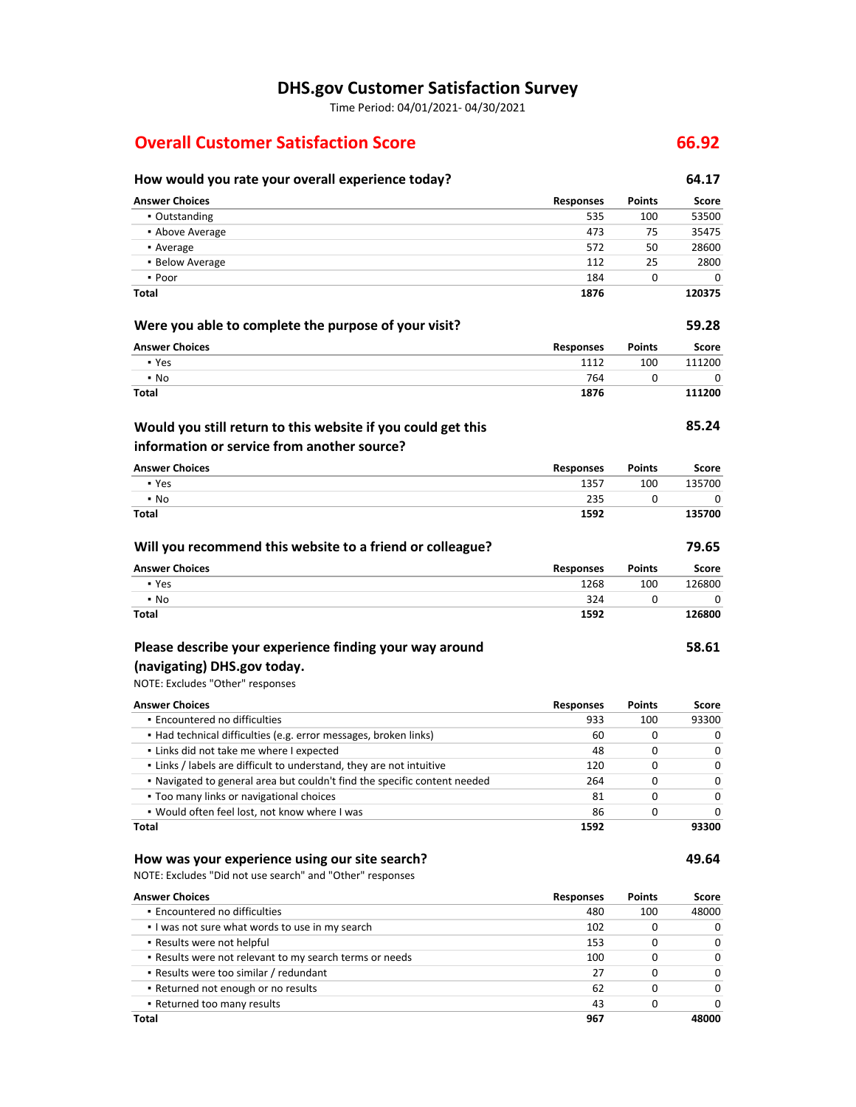# **DHS.gov Customer Satisfaction Survey**

Time Period: 04/01/2021‐ 04/30/2021

# **Overall Customer Satisfaction Score 66.92**

## **How would you rate your overall experience today? 64.17 Were you able to complete the purpose of your visit? Answer Choices Responses Points Score** ▪ Outstanding 535 100 53500 **• Above Average 175 125475 125475 125475 125475 125475 125475 125475** 125475 125475 125475 125475 125475 125475 1254 • Average 572 50 28600 **28600 • Below Average 2800** 2800  $\bullet$  Poor  $\bullet$  0 0 0 0  $\bullet$  184 0 0 0 0  $\bullet$ **Answer Choices 1876 Responses** 1112 764 **1876 Points** 100 0 **120375 59.28** 111200 **111200**

## **Would you still return to this website if you could get this information or service from another source?**

| <b>Answer Choices</b> | <b>Responses</b> | <b>Points</b> | Score  |
|-----------------------|------------------|---------------|--------|
| • Yes                 | 1357             | 100           | 135700 |
| $\cdot$ No            | 235              |               |        |
| <b>Total</b>          | 1592             |               | 135700 |

| Will you recommend this website to a friend or colleague? |                  |               | 79.65  |
|-----------------------------------------------------------|------------------|---------------|--------|
| <b>Answer Choices</b>                                     | <b>Responses</b> | <b>Points</b> | Score  |
| • Yes                                                     | 1268             | 100           | 126800 |
| $\cdot$ No                                                | 324              |               |        |
| Total                                                     | 1592             |               | 126800 |

# **Please describe your experience finding your way around**

# **(navigating) DHS.gov today.**

NOTE: Excludes "Other" responses

**Total**

▪ Yes ▪ No **Total**

| <b>Answer Choices</b>                                                     | <b>Responses</b> | <b>Points</b> | Score        |
|---------------------------------------------------------------------------|------------------|---------------|--------------|
| • Encountered no difficulties                                             | 933              | 100           | 93300        |
| • Had technical difficulties (e.g. error messages, broken links)          | 60               | 0             |              |
| . Links did not take me where I expected                                  | 48               | O             | $\Omega$     |
| . Links / labels are difficult to understand, they are not intuitive      | 120              | O             | $\Omega$     |
| . Navigated to general area but couldn't find the specific content needed | 264              | O             | <sup>0</sup> |
| • Too many links or navigational choices                                  | 81               | O             |              |
| . Would often feel lost, not know where I was                             | 86               |               |              |
| <b>Total</b>                                                              | 1592             |               | 93300        |

## **How was your experience using our site search?**

NOTE: Excludes "Did not use search" and "Other" responses

| <b>Answer Choices</b>                                   | <b>Responses</b> | <b>Points</b> | Score        |
|---------------------------------------------------------|------------------|---------------|--------------|
| • Encountered no difficulties                           | 480              | 100           | 48000        |
| I was not sure what words to use in my search           | 102              |               | 0            |
| • Results were not helpful                              | 153              |               | <sup>0</sup> |
| . Results were not relevant to my search terms or needs | 100              |               | <sup>0</sup> |
| . Results were too similar / redundant                  | 27               | 0             | 0            |
| • Returned not enough or no results                     | 62               |               | U            |
| • Returned too many results                             | 43               |               | n            |
| Total                                                   | 967              |               | 48000        |

**Score**

**85.24**

**58.61**

**49.64**

0